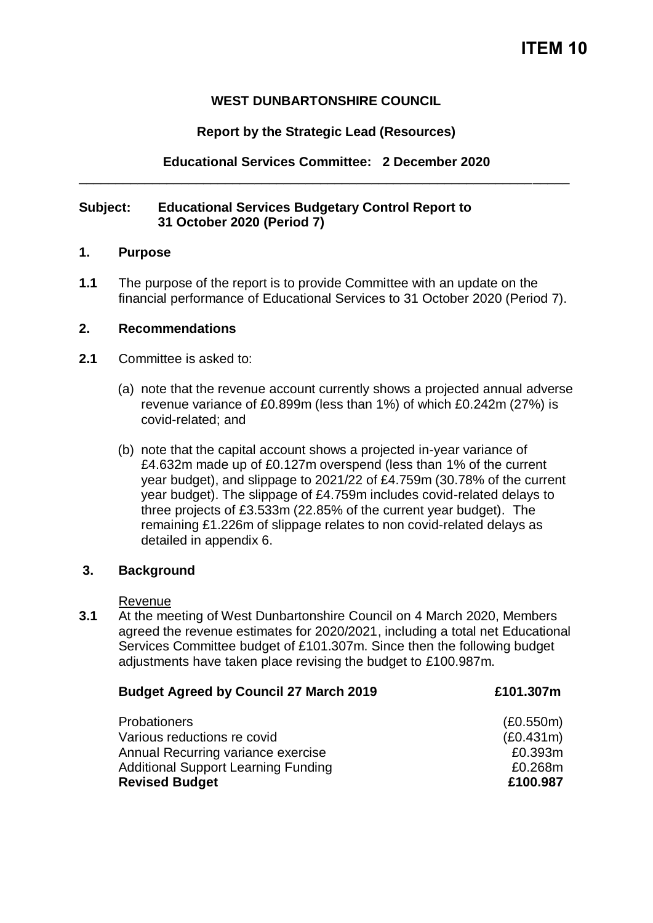# **WEST DUNBARTONSHIRE COUNCIL**

## **Report by the Strategic Lead (Resources)**

**Educational Services Committee: 2 December 2020** \_\_\_\_\_\_\_\_\_\_\_\_\_\_\_\_\_\_\_\_\_\_\_\_\_\_\_\_\_\_\_\_\_\_\_\_\_\_\_\_\_\_\_\_\_\_\_\_\_\_\_\_\_\_\_\_\_\_\_\_\_\_\_\_\_\_\_

#### **Subject: Educational Services Budgetary Control Report to 31 October 2020 (Period 7)**

#### **1. Purpose**

**1.1** The purpose of the report is to provide Committee with an update on the financial performance of Educational Services to 31 October 2020 (Period 7).

#### **2. Recommendations**

- **2.1** Committee is asked to:
	- (a) note that the revenue account currently shows a projected annual adverse revenue variance of £0.899m (less than 1%) of which £0.242m (27%) is covid-related; and
	- (b) note that the capital account shows a projected in-year variance of £4.632m made up of £0.127m overspend (less than 1% of the current year budget), and slippage to 2021/22 of £4.759m (30.78% of the current year budget). The slippage of £4.759m includes covid-related delays to three projects of £3.533m (22.85% of the current year budget). The remaining £1.226m of slippage relates to non covid-related delays as detailed in appendix 6.

## **3. Background**

Revenue

**3.1** At the meeting of West Dunbartonshire Council on 4 March 2020, Members agreed the revenue estimates for 2020/2021, including a total net Educational Services Committee budget of £101.307m. Since then the following budget adjustments have taken place revising the budget to £100.987m.

| <b>Budget Agreed by Council 27 March 2019</b> | £101.307m |
|-----------------------------------------------|-----------|
| <b>Probationers</b>                           | (E0.550m) |
| Various reductions re covid                   | (E0.431m) |
| Annual Recurring variance exercise            | £0.393m   |
| <b>Additional Support Learning Funding</b>    | £0.268m   |
| <b>Revised Budget</b>                         | £100.987  |
|                                               |           |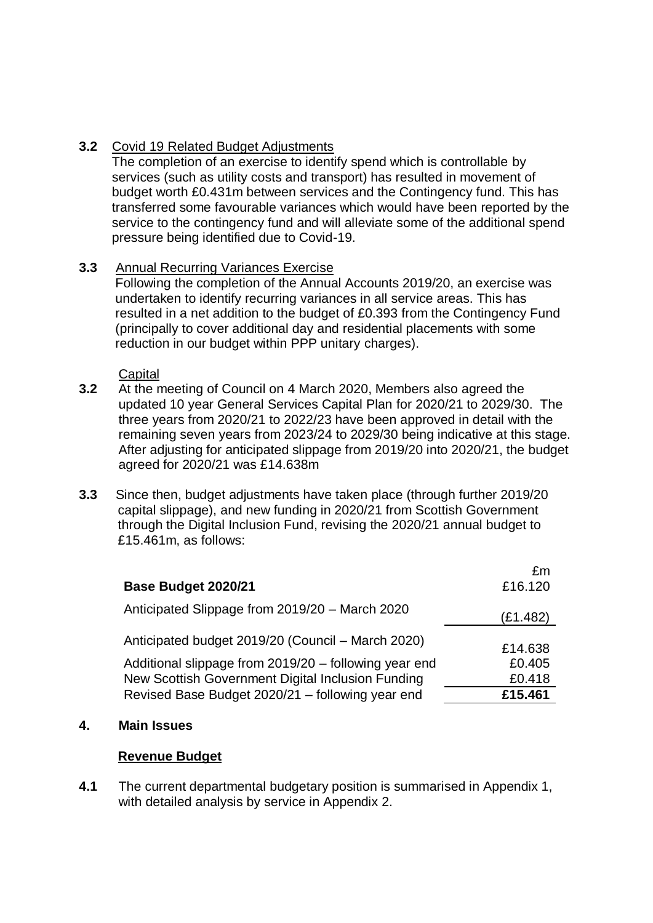# **3.2** Covid 19 Related Budget Adjustments

The completion of an exercise to identify spend which is controllable by services (such as utility costs and transport) has resulted in movement of budget worth £0.431m between services and the Contingency fund. This has transferred some favourable variances which would have been reported by the service to the contingency fund and will alleviate some of the additional spend pressure being identified due to Covid-19.

# **3.3** Annual Recurring Variances Exercise

Following the completion of the Annual Accounts 2019/20, an exercise was undertaken to identify recurring variances in all service areas. This has resulted in a net addition to the budget of £0.393 from the Contingency Fund (principally to cover additional day and residential placements with some reduction in our budget within PPP unitary charges).

**Capital** 

- **3.2** At the meeting of Council on 4 March 2020, Members also agreed the updated 10 year General Services Capital Plan for 2020/21 to 2029/30. The three years from 2020/21 to 2022/23 have been approved in detail with the remaining seven years from 2023/24 to 2029/30 being indicative at this stage. After adjusting for anticipated slippage from 2019/20 into 2020/21, the budget agreed for 2020/21 was £14.638m
- **3.3** Since then, budget adjustments have taken place (through further 2019/20 capital slippage), and new funding in 2020/21 from Scottish Government through the Digital Inclusion Fund, revising the 2020/21 annual budget to £15.461m, as follows:

| Base Budget 2020/21                                   | £m<br>£16.120 |
|-------------------------------------------------------|---------------|
| Anticipated Slippage from 2019/20 - March 2020        | (E1.482)      |
| Anticipated budget 2019/20 (Council – March 2020)     | £14.638       |
| Additional slippage from 2019/20 - following year end | £0.405        |
| New Scottish Government Digital Inclusion Funding     | £0.418        |
| Revised Base Budget 2020/21 - following year end      | £15.461       |

## **4. Main Issues**

## **Revenue Budget**

**4.1** The current departmental budgetary position is summarised in Appendix 1, with detailed analysis by service in Appendix 2.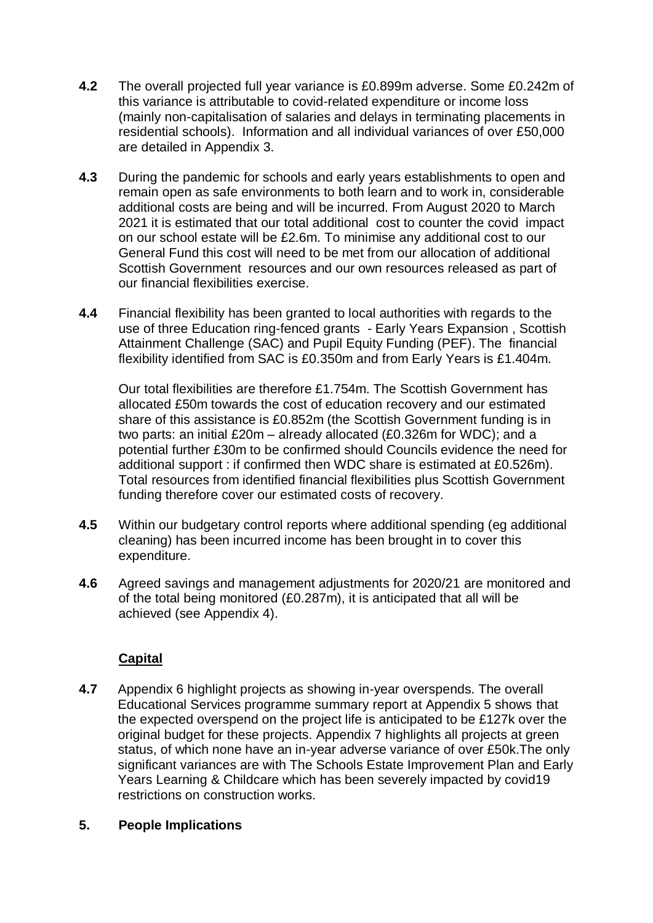- **4.2** The overall projected full year variance is £0.899m adverse. Some £0.242m of this variance is attributable to covid-related expenditure or income loss (mainly non-capitalisation of salaries and delays in terminating placements in residential schools). Information and all individual variances of over £50,000 are detailed in Appendix 3.
- **4.3** During the pandemic for schools and early years establishments to open and remain open as safe environments to both learn and to work in, considerable additional costs are being and will be incurred. From August 2020 to March 2021 it is estimated that our total additional cost to counter the covid impact on our school estate will be £2.6m. To minimise any additional cost to our General Fund this cost will need to be met from our allocation of additional Scottish Government resources and our own resources released as part of our financial flexibilities exercise.
- **4.4** Financial flexibility has been granted to local authorities with regards to the use of three Education ring-fenced grants - Early Years Expansion , Scottish Attainment Challenge (SAC) and Pupil Equity Funding (PEF). The financial flexibility identified from SAC is £0.350m and from Early Years is £1.404m.

Our total flexibilities are therefore £1.754m. The Scottish Government has allocated £50m towards the cost of education recovery and our estimated share of this assistance is £0.852m (the Scottish Government funding is in two parts: an initial £20m – already allocated (£0.326m for WDC); and a potential further £30m to be confirmed should Councils evidence the need for additional support : if confirmed then WDC share is estimated at £0.526m). Total resources from identified financial flexibilities plus Scottish Government funding therefore cover our estimated costs of recovery.

- **4.5** Within our budgetary control reports where additional spending (eg additional cleaning) has been incurred income has been brought in to cover this expenditure.
- **4.6** Agreed savings and management adjustments for 2020/21 are monitored and of the total being monitored (£0.287m), it is anticipated that all will be achieved (see Appendix 4).

# **Capital**

**4.7** Appendix 6 highlight projects as showing in-year overspends. The overall Educational Services programme summary report at Appendix 5 shows that the expected overspend on the project life is anticipated to be £127k over the original budget for these projects. Appendix 7 highlights all projects at green status, of which none have an in-year adverse variance of over £50k.The only significant variances are with The Schools Estate Improvement Plan and Early Years Learning & Childcare which has been severely impacted by covid19 restrictions on construction works.

## **5. People Implications**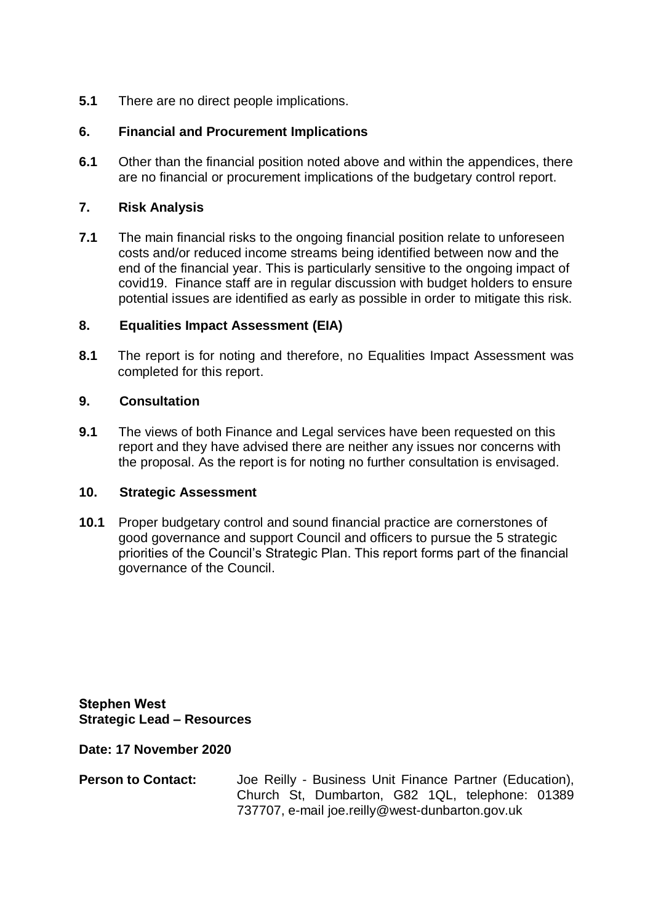**5.1** There are no direct people implications.

# **6. Financial and Procurement Implications**

**6.1** Other than the financial position noted above and within the appendices, there are no financial or procurement implications of the budgetary control report.

## **7. Risk Analysis**

**7.1** The main financial risks to the ongoing financial position relate to unforeseen costs and/or reduced income streams being identified between now and the end of the financial year. This is particularly sensitive to the ongoing impact of covid19. Finance staff are in regular discussion with budget holders to ensure potential issues are identified as early as possible in order to mitigate this risk.

## **8. Equalities Impact Assessment (EIA)**

**8.1** The report is for noting and therefore, no Equalities Impact Assessment was completed for this report.

## **9. Consultation**

**9.1** The views of both Finance and Legal services have been requested on this report and they have advised there are neither any issues nor concerns with the proposal. As the report is for noting no further consultation is envisaged.

## **10. Strategic Assessment**

**10.1** Proper budgetary control and sound financial practice are cornerstones of good governance and support Council and officers to pursue the 5 strategic priorities of the Council's Strategic Plan. This report forms part of the financial governance of the Council.

**Stephen West Strategic Lead – Resources**

**Date: 17 November 2020**

**Person to Contact:** Joe Reilly - Business Unit Finance Partner (Education), Church St, Dumbarton, G82 1QL, telephone: 01389 737707, e-mail joe.reilly@west-dunbarton.gov.uk